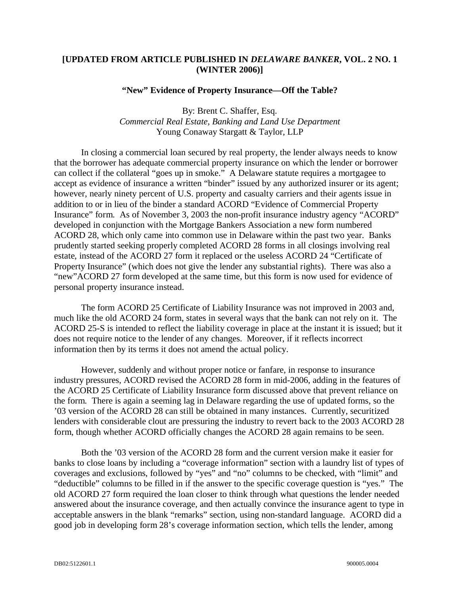## **[UPDATED FROM ARTICLE PUBLISHED IN** *DELAWARE BANKER***, VOL. 2 NO. 1 (WINTER 2006)]**

## **"New" Evidence of Property Insurance—Off the Table?**

## By: Brent C. Shaffer, Esq. *Commercial Real Estate, Banking and Land Use Department* Young Conaway Stargatt & Taylor, LLP

In closing a commercial loan secured by real property, the lender always needs to know that the borrower has adequate commercial property insurance on which the lender or borrower can collect if the collateral "goes up in smoke." A Delaware statute requires a mortgagee to accept as evidence of insurance a written "binder" issued by any authorized insurer or its agent; however, nearly ninety percent of U.S. property and casualty carriers and their agents issue in addition to or in lieu of the binder a standard ACORD "Evidence of Commercial Property Insurance" form. As of November 3, 2003 the non-profit insurance industry agency "ACORD" developed in conjunction with the Mortgage Bankers Association a new form numbered ACORD 28, which only came into common use in Delaware within the past two year. Banks prudently started seeking properly completed ACORD 28 forms in all closings involving real estate, instead of the ACORD 27 form it replaced or the useless ACORD 24 "Certificate of Property Insurance" (which does not give the lender any substantial rights). There was also a "new"ACORD 27 form developed at the same time, but this form is now used for evidence of personal property insurance instead.

The form ACORD 25 Certificate of Liability Insurance was not improved in 2003 and, much like the old ACORD 24 form, states in several ways that the bank can not rely on it. The ACORD 25-S is intended to reflect the liability coverage in place at the instant it is issued; but it does not require notice to the lender of any changes. Moreover, if it reflects incorrect information then by its terms it does not amend the actual policy.

However, suddenly and without proper notice or fanfare, in response to insurance industry pressures, ACORD revised the ACORD 28 form in mid-2006, adding in the features of the ACORD 25 Certificate of Liability Insurance form discussed above that prevent reliance on the form. There is again a seeming lag in Delaware regarding the use of updated forms, so the '03 version of the ACORD 28 can still be obtained in many instances. Currently, securitized lenders with considerable clout are pressuring the industry to revert back to the 2003 ACORD 28 form, though whether ACORD officially changes the ACORD 28 again remains to be seen.

Both the '03 version of the ACORD 28 form and the current version make it easier for banks to close loans by including a "coverage information" section with a laundry list of types of coverages and exclusions, followed by "yes" and "no" columns to be checked, with "limit" and "deductible" columns to be filled in if the answer to the specific coverage question is "yes." The old ACORD 27 form required the loan closer to think through what questions the lender needed answered about the insurance coverage, and then actually convince the insurance agent to type in acceptable answers in the blank "remarks" section, using non-standard language. ACORD did a good job in developing form 28's coverage information section, which tells the lender, among